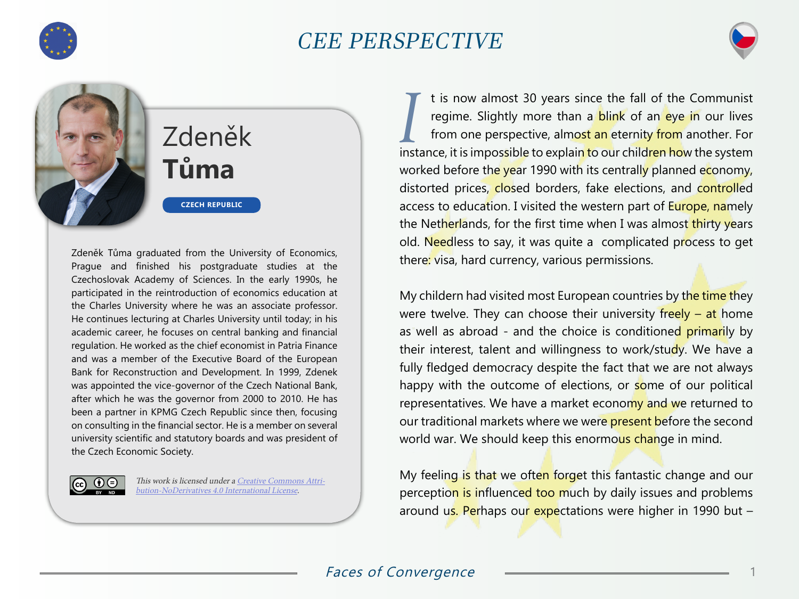

## CEE PERSPECTIVE





# Zdeněk **Tůma**

**CZECH REPUBLIC**

Zdeněk Tůma graduated from the University of Economics, Prague and finished his postgraduate studies at the Czechoslovak Academy of Sciences. In the early 1990s, he participated in the reintroduction of economics education at the Charles University where he was an associate professor. He continues lecturing at Charles University until today; in his academic career, he focuses on central banking and financial regulation. He worked as the chief economist in Patria Finance and was a member of the Executive Board of the European Bank for Reconstruction and Development. In 1999, Zdenek was appointed the vice-governor of the Czech National Bank, after which he was the governor from 2000 to 2010. He has been a partner in KPMG Czech Republic since then, focusing on consulting in the financial sector. He is a member on several university scientific and statutory boards and was president of the Czech Economic Society.



This work is licensed under a [Creative Commons Attri](https://creativecommons.org/licenses/by-nd/4.0/)[bution-NoDerivatives 4.0 International License](https://creativecommons.org/licenses/by-nd/4.0/).

*I* t is now almost 30 years since the fall of the Communist regime. Slightly more than a **blink** of an eye in our lives from one perspective, almost an eternity from another. For instance, it is impossible to explain to our children how the system worked before the year 1990 with its centrally planned economy, distorted prices, closed borders, fake elections, and controlled access to education. I visited the western part of Europe, namely the Netherlands, for the first time when I was almost thirty years old. Needless to say, it was quite a complicated process to get there: visa, hard currency, various permissions.

My childern had visited most European countries by the time they were twelve. They can choose their university freely  $-$  at home as well as abroad - and the choice is conditioned primarily by their interest, talent and willingness to work/study. We have a fully fledged democracy despite the fact that we are not always happy with the outcome of elections, or some of our political representatives. We have a market economy and we returned to our traditional markets where we were present before the second world war. We should keep this enormous change in mind.

My feeling is that we often forget this fantastic change and our perception is influenced too much by daily issues and problems around us. Perhaps our expectations were higher in 1990 but  $-$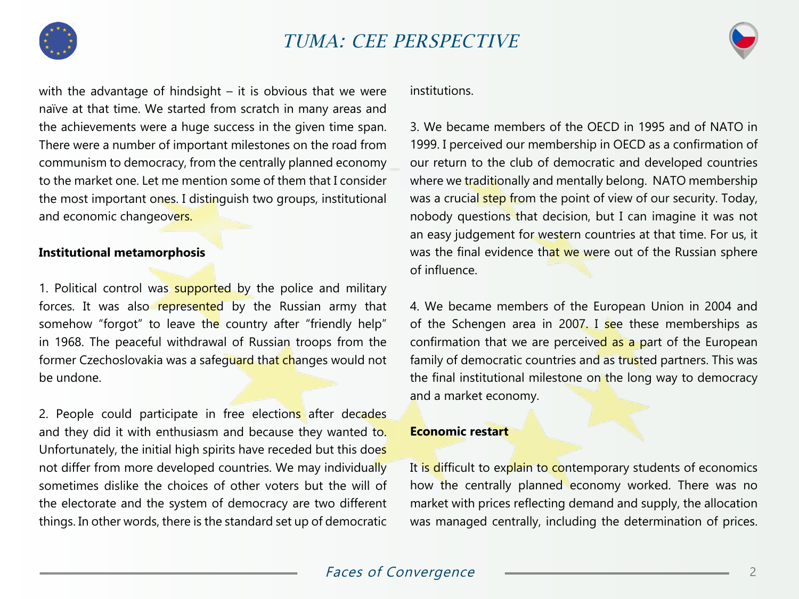



with the advantage of hindsight  $-$  it is obvious that we were naïve at that time. We started from scratch in many areas and the achievements were a huge success in the given time span. There were a number of important milestones on the road from communism to democracy, from the centrally planned economy to the market one. Let me mention some of them that I consider the most important ones. I distinguish two groups, institutional and economic changeovers.

#### **Institutional metamorphosis**

1. Political control was supported by the police and military forces. It was also represented by the Russian army that somehow "forgot" to leave the country after "friendly help" in 1968. The peaceful withdrawal of Russian troops from the former Czechoslovakia was a safeguard that changes would not be undone.

2. People could participate in free elections after decades and they did it with enthusiasm and because they wanted to. Unfortunately, the initial high spirits have receded but this does not differ from more developed countries. We may individually sometimes dislike the choices of other voters but the will of the electorate and the system of democracy are two different things. In other words, there is the standard set up of democratic institutions.

3. We became members of the OECD in 1995 and of NATO in 1999. I perceived our membership in OECD as a confirmation of our return to the club of democratic and developed countries where we traditionally and mentally belong. NATO membership was a crucial step from the point of view of our security. Today, nobody questions that decision, but I can imagine it was not an easy judgement for western countries at that time. For us, it was the final evidence that we were out of the Russian sphere of influence.

4. We became members of the European Union in 2004 and of the Schengen area in  $2007$ . I see these memberships as confirmation that we are perceived as a part of the European family of democratic countries and as trusted partners. This was the final institutional milestone on the long way to democracy and a market economy.

#### **Economic restart**

It is difficult to explain to contemporary students of economics how the centrally planned economy worked. There was no market with prices reflecting demand and supply, the allocation was managed centrally, including the determination of prices.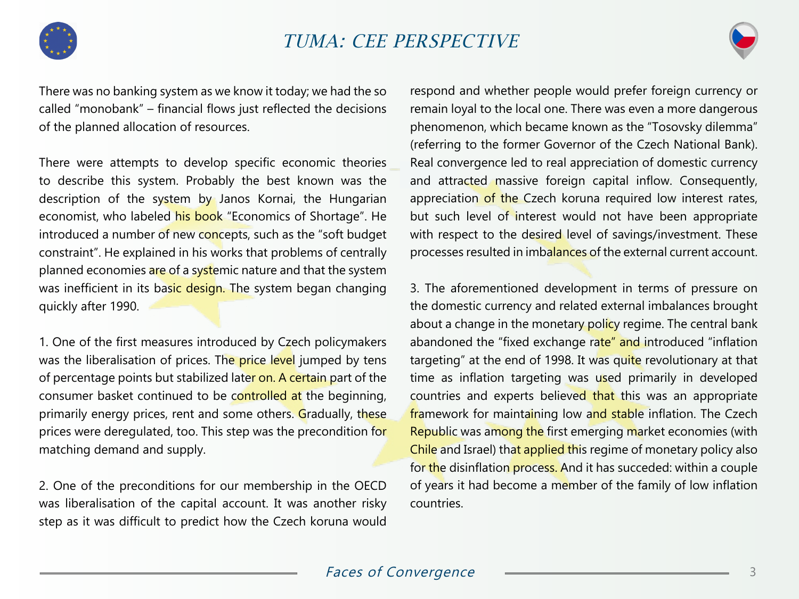

### TUMA: CEE PERSPECTIVE



There was no banking system as we know it today; we had the so called "monobank" – financial flows just reflected the decisions of the planned allocation of resources.

There were attempts to develop specific economic theories to describe this system. Probably the best known was the description of the system by Janos Kornai, the Hungarian economist, who labeled his book "Economics of Shortage". He introduced a number of new concepts, such as the "soft budget constraint". He explained in his works that problems of centrally planned economies are of a systemic nature and that the system was inefficient in its basic design. The system began changing quickly after 1990.

1. One of the first measures introduced by Czech policymakers was the liberalisation of prices. The price level jumped by tens of percentage points but stabilized later on. A certain part of the consumer basket continued to be controlled at the beginning, primarily energy prices, rent and some others. Gradually, these prices were deregulated, too. This step was the precondition for matching demand and supply.

2. One of the preconditions for our membership in the OECD was liberalisation of the capital account. It was another risky step as it was difficult to predict how the Czech koruna would respond and whether people would prefer foreign currency or remain loyal to the local one. There was even a more dangerous phenomenon, which became known as the "Tosovsky dilemma" (referring to the former Governor of the Czech National Bank). Real convergence led to real appreciation of domestic currency and attracted massive foreign capital inflow. Consequently, appreciation of the Czech koruna required low interest rates, but such level of interest would not have been appropriate with respect to the desired level of savings/investment. These processes resulted in imbalances of the external current account.

3. The aforementioned development in terms of pressure on the domestic currency and related external imbalances brought about a change in the monetary policy regime. The central bank abandoned the "fixed exchange rate" and introduced "inflation targeting" at the end of 1998. It was quite revolutionary at that time as inflation targeting was used primarily in developed countries and experts believed that this was an appropriate framework for maintaining low and stable inflation. The Czech Republic was among the first emerging market economies (with Chile and Israel) that applied this regime of monetary policy also for the disinflation process. And it has succeded: within a couple of years it had become a member of the family of low inflation countries.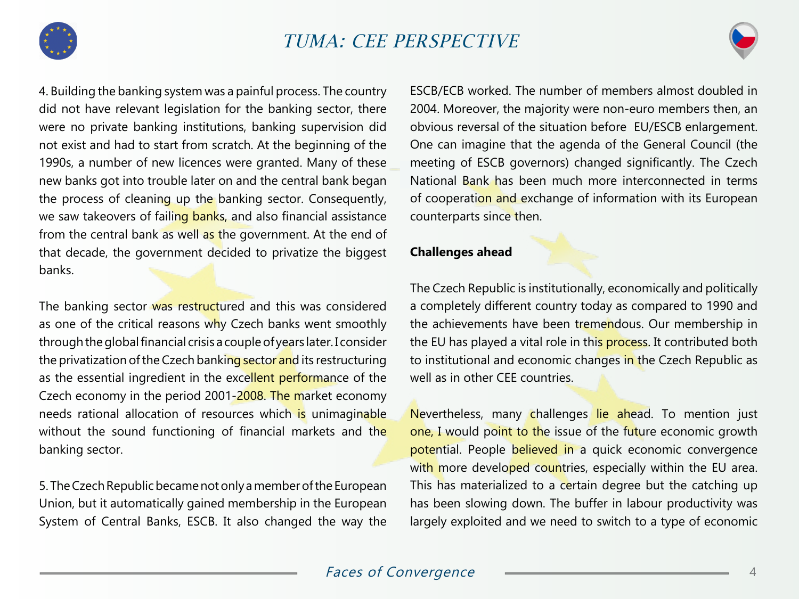

### TUMA: CEE PERSPECTIVE



4. Building the banking system was a painful process. The country did not have relevant legislation for the banking sector, there were no private banking institutions, banking supervision did not exist and had to start from scratch. At the beginning of the 1990s, a number of new licences were granted. Many of these new banks got into trouble later on and the central bank began the process of cleaning up the banking sector. Consequently, we saw takeovers of failing banks, and also financial assistance from the central bank as well as the government. At the end of that decade, the government decided to privatize the biggest banks.

The banking sector was restructured and this was considered as one of the critical reasons why Czech banks went smoothly through the global financial crisis a couple of years later. I consider the privatization of the Czech banking sector and its restructuring as the essential ingredient in the excellent performance of the Czech economy in the period 2001-2008. The market economy needs rational allocation of resources which is unimaginable without the sound functioning of financial markets and the banking sector.

5. The Czech Republic became not only a member of the European Union, but it automatically gained membership in the European System of Central Banks, ESCB. It also changed the way the

ESCB/ECB worked. The number of members almost doubled in 2004. Moreover, the majority were non-euro members then, an obvious reversal of the situation before EU/ESCB enlargement. One can imagine that the agenda of the General Council (the meeting of ESCB governors) changed significantly. The Czech National Bank has been much more interconnected in terms of cooperation and exchange of information with its European counterparts since then.

#### **Challenges ahead**

The Czech Republic is institutionally, economically and politically a completely different country today as compared to 1990 and the achievements have been tremendous. Our membership in the EU has played a vital role in this process. It contributed both to institutional and economic changes in the Czech Republic as well as in other CEE countries.

Nevertheless, many challenges lie ahead. To mention just one, I would point to the issue of the future economic growth potential. People believed in a quick economic convergence with more developed countries, especially within the EU area. This has materialized to a certain degree but the catching up has been slowing down. The buffer in labour productivity was largely exploited and we need to switch to a type of economic